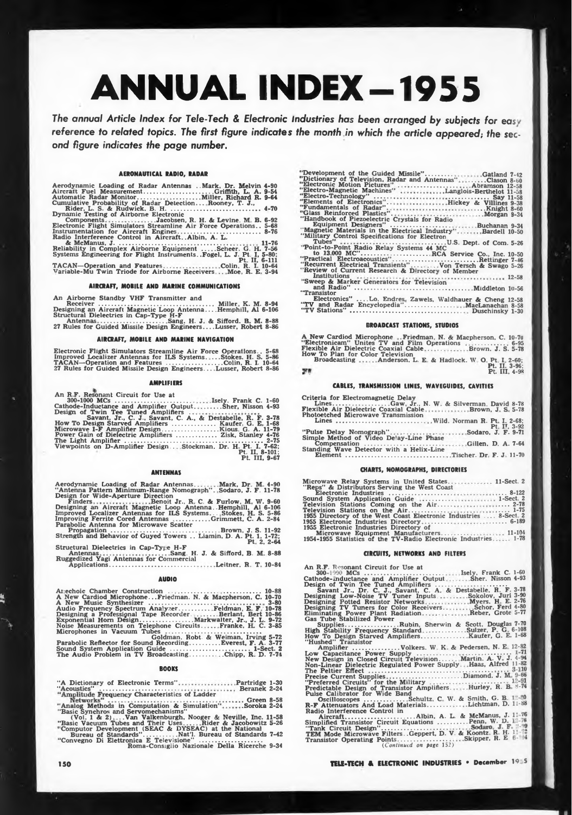# ANNUAL INDEX-1955

**The** *annual Article Index for Tele-Tech & Electronic Industries has been arranged by subjects for eas* reference to related topics. The first figure indicates the month in which the article appeared; the sec*ond figure indicates the page number.*

## **AERONAUTICAL RADIO, RADAR**

| Aerodynamic Loading of Radar Antennas . Mark, Dr. Melvin 4-90                                                    |
|------------------------------------------------------------------------------------------------------------------|
| Cumulative Probability of Radar Detection Rooney, T. J.,                                                         |
| Dynamic Testing of Airborne Electronic                                                                           |
| ComponentsJacobsen, R. H. & Levine. M. B. 6-92                                                                   |
| Electronic Flight Simulators Streamline Air Force Operations 5-68                                                |
| Instrumentation for Aircraft Engines 8-76                                                                        |
| Radio Interference Control in Aircraft. Albin. A. L.                                                             |
|                                                                                                                  |
| Reliability in Complex Airborne Equipment Scheer. G. H. 7-56                                                     |
| Systems Engineering for Flight Instruments. Fogel, L. J. Pt. I, 5-80;                                            |
| Pt. II. 6-111                                                                                                    |
| TACAN-Operation and FeaturesColin, R. I. 10-64<br>Variable-Mu Twin Triode for Airborne Receivers Moe. R. E. 3-94 |
|                                                                                                                  |

## **AIRCRAFT, MOBILE AND MARINE COMMUNICATIONS**

**An Airborne Standby VHF Transmitter and** Receiver Community Charles Receiver Community Charles Receiver Community Charles Receiver Charles Structural Dielectrics in Cap-Type H-F<br>Structural Dielectrics in Cap-Type H-F<br>Antennas Community Charles Receiver Charles An

## **AIRCRAFT, MOBILE AND MARINE NAVIGATION**

Electronic Flight Simulators Streamline Air Force Operations.. 5-68<br>Improved Localizer Antennas for ILS Systems......Stokes. H. S. 5-86<br>TACAN—Operation and Features .....................Colin, R. I. 10-64<br>27 Rules for Guid

#### **AMPLIFIERS**

**An R.F. Resonant Circuit for Use at** 300-1000 MCs<br>Cathode-Inductance and Amplifier Output<br>Design of Twin Tee Tuned Amplifiers **Isely. Frank C. ... .Sher, Nisson** Savant, Jr., C. J., Savant, C. A., & Destabelle, R. F.<br>How To Design Starved Amplifiers ..................... Kaufer. G. E. **1-60 4-93 3-78 1-68 Microwave I-F Amplifier Design..............................Kious. G. A. 11-79 Power Gain of Dielectric Amplifiers ..................... Zisk, Stanley 4-76 The Light Amplifier ...................................................................... 2-75 Viewpoints on D-Amplifler Design.. Stockman. Dr. H. Pt. I. 7-62; Pt. II, 8-101; PL III, 9-G7**

#### **ANTENNAS**

**Aerodynamic Loading of Radar Antennas Mark, Dr M 4-90 "Antenna Pattern Minimum-Range Nomograph". Sodaro, J. F. 11-78 Design for Wide-Aperture Direction Finders Benoit Jr., R C. & Furlow, M W. 9-60 Designing an Aircraft Magnetic Loop Antenna..Hemphill, Al 6-106 Improved Localizer Antennas for ILS Systems... Stokes, H S. 5-86 Improving Ferrite Cored Antennas ..................Grimmett, C. A. 2-84 Parabolic Antenna for Microwave Scatter Propagation Multimum-Hange Nonograph**"...Sodaro, J. F. 11-78<br> **Propagation**  $\overline{P}$  **Propagation**  $\overline{P}$  **Propagation**  $\overline{P}$  **Propagation**<br> **Propagation**  $\overline{P}$  **Propagation**  $\overline{P}$  **Propagation**<br> **Propagation**

**Strength and Behavior of Guyed Towers .. Liamin, D. A. Pt. 1, 1-72; Pt 2, 2-64**

**Structural Dielectrics in Cap-Tyj e H-F Antennas Ruggedized Yagi Antennas for Commercial Applications...................................... Sang, H. J. & Sifford. B. M 8-88**

**Leitner. R T 10-84**

# **AUDIO**

**Anechoic Chamber Construction .. ................... ................... A New Cardiod Microphone.. .Friedman. N. & Macpherson, C. A New Music Synthesizer ........................................................... . 10-88 10-70 3-80 Audio Frequency Spectrum Analyzer................ Feldman, E F 10-78 Designing a Professional Tape Recorder. . .......Berlant, Bert 10-86 Exponential Hom Design............................Markwaiter, Jr., J. L. 9-72 Noise Measurements on Telephone Circuits Franke, IL C. 3-85 Microphones in Vacuum Tubes ...................... . ........................ Goldman, Robt. & Weiman, Irving 5-72 Parabolic Reflector for Sound Recording................Everest, F. A. 3-77 Sound System Application Guide ......................................... 1-Sect. 2 The Audio Problem in TV Broadcasting..............Chipp, R D. 7-71**

## **BOOKS**

**"A Dictionary of Electronic Terms" "Acoustics" ......................................... Characteristics of Ladder Partridge Beranek 1-30 2-24**

Networks"<br>
"Analog Methods in Computation & Simulation"....... Green 8-58<br>
"Basic Synchros and Servomechanisms"<br>
(Vol. 1 & 2)....Van Valkenburgh, Nooger & Neville, Inc. 11-58<br>
"Basic Vacuum Tubes and Their Uses......Rider

| "Development of the Guided Missile"Gatland 7-42<br>"Dictionary of Television, Radar and Antennas"Clason 8-60<br>"Electronic Motion Pictures" Abramson 12-58<br>"Electro-Magnetic Machines" Langlois-Berthelot 11-58<br>"Elements of Electronics"Hickey & Villines 9-38 |
|------------------------------------------------------------------------------------------------------------------------------------------------------------------------------------------------------------------------------------------------------------------------|
| "Handbook of Piezoelectric Crystals for Radio                                                                                                                                                                                                                          |
| Equipment Designers" Buchanan 9-34                                                                                                                                                                                                                                     |
| "Magnetic Materials in the Electrical Industry"Bardell 10-50                                                                                                                                                                                                           |
|                                                                                                                                                                                                                                                                        |
| "Military Control Specifications for Electron                                                                                                                                                                                                                          |
|                                                                                                                                                                                                                                                                        |
|                                                                                                                                                                                                                                                                        |
| "Point-to-Point Radio Relay Systems 44 MC                                                                                                                                                                                                                              |
| to 13,000 MC"RCA Service Co., Inc. 10-50                                                                                                                                                                                                                               |
| "Practical Electroacoustics"Rettinger 7-46                                                                                                                                                                                                                             |
|                                                                                                                                                                                                                                                                        |
| "Recurrent Electrical Transients" Von Tersch & Swago 5-26                                                                                                                                                                                                              |
| "Review of Current Research & Directory of Member                                                                                                                                                                                                                      |
|                                                                                                                                                                                                                                                                        |
| "Sweep & Marker Generators for Television                                                                                                                                                                                                                              |
|                                                                                                                                                                                                                                                                        |
|                                                                                                                                                                                                                                                                        |
| "Transistor                                                                                                                                                                                                                                                            |
| Electronics" Lo. Endres, Zawels, Waldhauer & Cheng 12-58                                                                                                                                                                                                               |
|                                                                                                                                                                                                                                                                        |
|                                                                                                                                                                                                                                                                        |
|                                                                                                                                                                                                                                                                        |
|                                                                                                                                                                                                                                                                        |

## **BROADCAST STATIONS, STUDIOS**

**A New Cardiod Microphone . Friedman, N. & Macpherson. C. 10-7U ' Electronicam" Unites TV and Film Operations ............... 6-95 Flexible Air Dielectric Coaxial Cable ... Brown. J. S. 5-78 How To Plan for Color Television Broadcasting Anderson. L. E & Hadlock. W O Pt I 2-60, Pt. II. 3-96; Pt. III. 4-9«**

| Pt. II. 3<br>Pt. III. 4 |
|-------------------------|
|                         |

## **CABLES, TRANSMISSION LINES, WAVEGUIDES, CAVITIES**

**Criteria for Electromagnetic Delay Lines.. ................ Gaw Jr., N. W & Silverman. David 8-78 Flexible Air Dielectric Coaxial Cable Photoetched Microwave Transmission Lines ........................................... . . Brown, J S 5-78 Wild. Norman R. Pt I. 2-68; Pt II, 3-92 Sodaro, J. F. 9-71**

**'Pulse Delay Nomograph" . . Simple Method of Video Delay-Line Phase Compensation ................................... Standing Wave Detector with a Helix-Line Element............................................. Gillen. D. A. 7-64 Tischer. Dr F. J 11-70**

## **CHARTS, NOMOGRAPHS, DIRECTORIES**

| Microwave Relay Systems in United States 11-Sect. 2<br>"Reps" & Distributors Serving the West Coast |
|-----------------------------------------------------------------------------------------------------|
|                                                                                                     |
|                                                                                                     |
|                                                                                                     |
|                                                                                                     |
|                                                                                                     |
| 1955 Directory of the West Coast Electronic Industries , 8-Sect. 2                                  |
|                                                                                                     |
| 1955 Electronic Industries Directory of                                                             |
| Microwave Equipment Manufacturers 11-104                                                            |
| 1954-1955 Statistics of the TV-Radio Electronic Industries 1-78                                     |
|                                                                                                     |

## **CIRCUITS, NETWORKS AND FILTEPS**

**An R.F. Resonant Circuit for Use at 300 1000 MCs ................................... Cathode-inductance and Amplifier Output Isely, Frank C. 1-60 Sher. Nisson 4-93 Design of Twin Tee Timed Amplifiers ..................................... Savant Jr., Dr. C J., Savant, C A & Destabelle. R F. 3-78 Designing Low-Noise TV Tuner Inputs. . Sokolov, Juri 3-90 Designing Potted Resistor Networks Myers. H E. 2-76 Designing TV Tuners for Color Receivers.. Scbor. Feni 4-80 Eliminating Power Plant Radiation.. . . Reber. Grott 5-77 Gas Tube Stabilized Power . Supplies............................Rubin, Sherwin & Scott, Douglas 7-70 High Stability Frequency Standard ...................Sulzer, P G 6-108 How To Design Starved Amplifiers...................... Kaufer, G. E. 1-68 "Hushed" Transistor Amplifier ........................ Volkers. W K & Pedersen, N. E 12-82 Low Capacitance Power Supply................. ... ■■■ ......."V New Design in Closed Circuit Television....... Martin. A. <sup>V</sup> J. 4-94 Non-Linear Dielectric Regulated Power Supply. Haas, Alfred 11-82 The Peltier Effect ............................................................... Precise Current Supplies ......................................Diamond. J. M 9-6» "Preferred Circuits" for the Military . .... ................. . • <sup>1</sup> Predictable Design of Transistor Amplifiers. . Hurley, R. B 8-74 Pulse Calibrator for Wide Band , " " <sup>M</sup> Oscilloscopes....................... Schultz, <sup>C</sup> W. & Smith, G. <sup>B</sup> <sup>0</sup> R-F Attenuators And Load Materials............ .. .Lichtman, D. 1--88 Radio Interference Control in....................................... " \_ ,, Aircraft..................................... Albin. A. L. & McManus, J. <sup>11</sup> <6 Simplified Transistor Circuit Equations ............... Perm, W- D • "Tank Circuit Design"............................... °, • TEM Mode Microwave Filters. .Geppert, D. V. & Koontz. <sup>R</sup>1. H. <sup>1</sup> " Transistor Operating Points.......................... Skipper, R. E '** *{Continued on page* **152)**

**150 TELE-TECH & ELECTRONIC INDUSTRIES • December 19 <sup>5</sup>**

**It**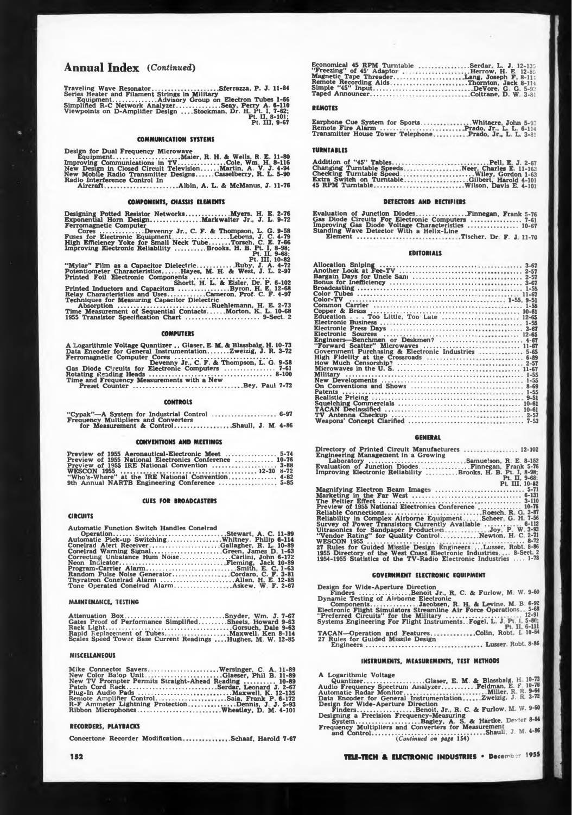# **Annual Index** *(Continued)*

**Traveling Wave Resonator Sferrazza, P. J. 11-84 Series Heater and Filament Strings in Military Equipment................ Advisory Group on Electron Tubes 1-66 Simplified R-C Network Analyzer.......................Seay, Perry A. 6-110 Viewpoints on D-Amplifier Design ....Stockman. Dr. H Pt. I. 7-62; Pt. II, 8-101; Pt. Ill, 9-67**

## **COMMUNICATION SYSTEMS**

**Design for Dual Frequency Microwave Equipment............ . .....................Maier, R. H & Wells, R. E 11-80 Improving Communications in TV.........................Cole, Wm. H 8-116 New Design in Closed Circuit Television........ Martin, A. V. J. 4-94 New Mobile Radio Transmitter Designs.........Casselberry, R. L. 5-90 Radio Interference Control In Aircraft Albin, A. L. & McManus, J. 11-76**

**COMPONENTS, CHASSIS ELEMENTS**

**Designing Potted Resistor Networks..................... Myers. H. E. 2-76 Exponential Hom Design..........................Markwaiter Jr., J. L. 9-72 Ferromagnetic Computer Cores .......................Devenny Jr.,** *C.* **F. & Thompson, L. G. 9-58 Fuses for Electronic Equipment ............................Lebens, J. C. 4-79 High Efficiency Yoke for Small Neck Tube.......... Torsch. C. E. 7-66 Improving Electronic Reliability ................Brooks. H. B. Pt. I, 8-98; Pt. II. 9-68; Pt. Ill, 10-82**

**"Mylar" Film as a Capacitor Dielectric................. Ruby, J. A. 4-72 Potentiometer Characteristics.........Hayes, M. H. & West, J. L. 2-97 Printed Foil Electronic Components ........................................ Shortt. H. L & Eisler. Dr. P. 6-102 Printed Inductors and Capacitors ...........................Byron. H E 12-68 Relay Characteristics and Uses................... Cameron. Prof. C. F. 4-97 Techniques for Measuring Capacitor Dielectric Absorption ................................................. Ruehlemann, H. E. 2-7.) Time Measurement of Sequential Contacts. .. Morton, K L 10-68 1955 Transistor Specification Chart ................... . .................9-Sect. 2**

#### **COMPUTERS**

| A Logarithmic Voltage Quantizer Glaser, E. M. & Blassbalg, H. 10-73 |                                          |  |
|---------------------------------------------------------------------|------------------------------------------|--|
| Data Encoder for General InstrumentationZweizig. J. R. 3-72         |                                          |  |
| Ferromagnetic Computer Cores                                        | Devenny Jr. C. F. & Thompson, L. G. 9-58 |  |

**Ferromagnetic Computer Cores ................................................... Devenny Jr., C. F. & Thompson, L. G. 9-58 Gas Diode Ch-cults for Electronic Computers .......................... 7-61 Rotating Reading Heads ................................................................ 8-100 Time and Frequency Measurements with a New Preset Counter ........................................ Bey. Paul 7-72**

## **CONTROLS**

| "Cypak"—A System for Industrial Control  6-97 |  |
|-----------------------------------------------|--|
| <b>Frequency Multipliers and Converters</b>   |  |
| for Measurement & ControlShaull, J. M. 4-86   |  |

#### **CONVENTIONS AND MEETINGS**

| Preview of 1955 Aeronautical-Electronic Meet  5-74     |  |
|--------------------------------------------------------|--|
| Preview of 1955 National Electronics Conference  10-76 |  |
|                                                        |  |
|                                                        |  |
| "Who's-Where" at the IRE National Convention 4-82      |  |
|                                                        |  |

## **CUES FOR BROADCASTERS**

## **CIRCUITS**

**Automatic Function Switch Handles Conelrad**

| Conelrad Alert ReceiverGallagher, R. L. 10-89     |  |
|---------------------------------------------------|--|
| Conelrad Warning SignalGreen, James D. 1-63       |  |
| Correcting Unbalance Hum NoiseCarlini. John 6-172 |  |
|                                                   |  |
|                                                   |  |
| Random Pulse Noise GeneratorCordaro, C. F. 3-81   |  |
| Thyratron Conelrad Alarm Allen, H. E. 12-85       |  |
|                                                   |  |

#### **MAINTENANCE, TESTING**

**Attenuation Box.................................................. Snyder, Wm. J. Gates Proof of Performance Simplified..............Sheets, Howard Rack Light...................................................................Gorsuch, Dale Rapid Replacement of Tubes..................................Maxwell Ken <sup>I</sup> Scales Speed Tower Base Current Readings ....Hughes, M. W. <sup>I</sup> 7-67 <sup>I</sup> 9-63 ' 9-63 8-114 12-85**

## **MISCELLANEOUS**

**Mike Connector Savers.....................................Wersinger, C. A New Color Balop Unit ...................................Glaeser, Phil B. New TV Prompter Permits Straight-Ahead Reading.......................... Patch Cord Rack................................................Serdar, Leonard J. 2-67 11-89 11-89 10-89** Plug-In Audio Pads<br>Remote Amplifier Control............<br>R-F Ammeter Lightning Protection<br>Ribbon Microphones................... **... .Maxwell, K. 12-135 ..Saia, Frank P 6-172 .......Dennis, J. J. 5-93 .Wheatley, D. M. 4-101**

#### **RECORDERS, PLAYBACKS**

**Concertent\* Recorder Modification .Schaaf. Harold 7-67**

**Economical 45 RPM Turntable "Freezing" of 45' Adaptor . , Magnetic Tape Threader. .. Remote Recording Aids. . . Simple "45" Input..................... Taped Announcer.......................** ...Serdar, L. J. 12-135<br>
Lang, Joseph F. 8.12-85<br>
Lang, Joseph F. 8-114<br>
...Thornton, Jack 8-114<br>
...DeVore, G. G. 5-93<br>
..Coltrane, D. W. 3-81

#### **REMOTES**

**Earphone Cue System for Sports.... Remote Fire Alarm ............................ Transmitter House Tower Telephone .Whitacre John** 5-93 **Prado, Jr., L. L. 6-114 Prado. Jr, L. L. 3-81**

#### **TURNTABLES**

Addition of "45" Tables....<br>Changing Turntable Speeds<br>Checking Turntable Speed.<br>Extra Switch on Turntable<br>45 RPM Turntable......... ..........Pell, E. J. 2-67<br>Neer, Charles E. 11-163.<br>....Wiley, Gordon 1-63<br>...Gilbert, Harold 4-101.<br>.Wilson, Davis E. 4-101

## **DETECTORS AND RECTIFIERS**

**Evaluation of Junction Diodes .........................Finnegan, Frank 5-76 Gas Diode Circuits For Electronic Computers ............................ 7-61 Improving Gas Diode Voltage Characteristics .......................... 10-6/ Standing Wave Detector With a Helix-Line Element Tischer. Dr. F. J 11-70**

## **EDITORIALS**

| Color-TV                                            |          |
|-----------------------------------------------------|----------|
|                                                     |          |
|                                                     |          |
| Education Too Little. Too Late  12-65               |          |
|                                                     |          |
|                                                     |          |
|                                                     |          |
|                                                     |          |
|                                                     |          |
|                                                     |          |
|                                                     |          |
| Government Purchasing & Electronic Industries  5-65 |          |
|                                                     |          |
|                                                     |          |
|                                                     |          |
|                                                     |          |
|                                                     |          |
|                                                     | $8 - 69$ |
|                                                     |          |
|                                                     |          |
|                                                     |          |
|                                                     |          |
|                                                     |          |
|                                                     |          |

## **GENERAL**

| Directory of Printed Circuit Manufacturers  12-102                              |
|---------------------------------------------------------------------------------|
| <b>Engineering Management in a Growing</b><br>Laboratory Samuelson, R. E. 8-152 |
|                                                                                 |
| Improving Electronic Reliability Brooks, H. B. Pt. I, 8-98;                     |
| Pt. II, 9-68;                                                                   |
| Pt. III. 10-82                                                                  |
| Magnifying Electron Beam Images  5-71                                           |
|                                                                                 |
|                                                                                 |
| Preview of 1955 National Electronics Conference  10-76                          |
| Reliable ConnectionsRoesch. R. G. 3-87                                          |
| Reliability in Complex Airborne EquipmentScheer, G. H. 7-56                     |
| Survey of Power Transistors Currently Available  6-112                          |
| Ultrasonics for Sandpaper ProductionJoy. P. W. 3-93                             |
| "Vendor Rating" for Quality ControlNewton, H. C. 2-71                           |
|                                                                                 |
| 27 Rules for Guided Missile Design EngineersLusser. Robt. 8-86                  |
| 1955 Directory of the West Coast Electronic Industries 8-Sect 2                 |
| 1954-1955 Statistics of the TV-Radio Electronic Industries  1-78                |
|                                                                                 |

## **GOVERNMENT ELECTRONIC EQUIPMENT**

Design for Wide-Aperture Direction<br>
Finders .....................Benoit Jr., R. C. & Furlow, M. W. 9-60<br>
Dynamic Testing of Airborne Electronic<br>
Components..................Jacobsen, R. H. & Levine. M. B. 6-92<br>
Electronic **TACAN—Operation and Features. 27 Rules for Guided Missile Design Engineers............ ................. Colin. Robt L 10-64 ... Lusser. Robt 8-86**

# **INSTRUMENTS. MEASUREMENTS, TEST METHODS**

**<sup>A</sup> Logarithmic Voltage " Quantizer................................Glaser, E. M. & Blassbalg, H 10-73 Audio Frequency Spectrum Analyzer................Feldman, K th 10-7® Automatic Radar Monitor Data Encoder for General Instrumentation . .Miller, R R-Zweizig. J. R-9-64 7-72**

**Design for Wide-Aperture Direction Finders.......................Benoit, Jr., R. C. & Furlow. M W. Designing a Precision Frequency-Measuring System.......................... Bagley, A. S. & Hartke, Dexter Frequency Multipliers and Converters for Measurement and Control.....................................................Shaull, J. M.** *(Continued on page* **Ì54) 9-60 8-84**

**4-86**

**I**